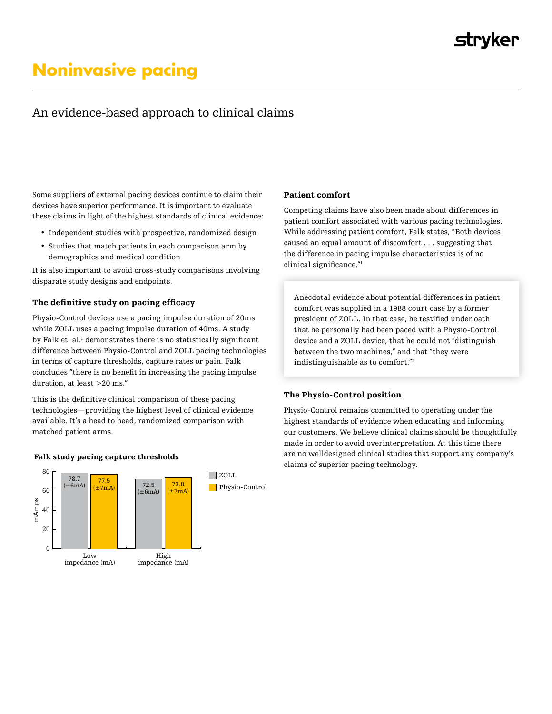# **Noninvasive pacing**

# An evidence-based approach to clinical claims

Some suppliers of external pacing devices continue to claim their devices have superior performance. It is important to evaluate these claims in light of the highest standards of clinical evidence:

- Independent studies with prospective, randomized design
- Studies that match patients in each comparison arm by demographics and medical condition

It is also important to avoid cross-study comparisons involving disparate study designs and endpoints.

# The definitive study on pacing efficacy

Physio-Control devices use a pacing impulse duration of 20ms while ZOLL uses a pacing impulse duration of 40ms. A study by Falk et. al.<sup>1</sup> demonstrates there is no statistically significant difference between Physio-Control and ZOLL pacing technologies in terms of capture thresholds, capture rates or pain. Falk concludes "there is no benefit in increasing the pacing impulse duration, at least >20 ms."

This is the definitive clinical comparison of these pacing technologies—providing the highest level of clinical evidence available. It's a head to head, randomized comparison with matched patient arms.

## Falk study pacing capture thresholds



#### Patient comfort

Competing claims have also been made about differences in patient comfort associated with various pacing technologies. While addressing patient comfort, Falk states, "Both devices caused an equal amount of discomfort . . . suggesting that the difference in pacing impulse characteristics is of no clinical significance."<sup>1</sup>

Anecdotal evidence about potential differences in patient comfort was supplied in a 1988 court case by a former president of ZOLL. In that case, he testified under oath that he personally had been paced with a Physio-Control device and a ZOLL device, that he could not "distinguish between the two machines," and that "they were indistinguishable as to comfort."2

#### The Physio-Control position

Physio-Control remains committed to operating under the highest standards of evidence when educating and informing our customers. We believe clinical claims should be thoughtfully made in order to avoid overinterpretation. At this time there are no welldesigned clinical studies that support any company's claims of superior pacing technology.